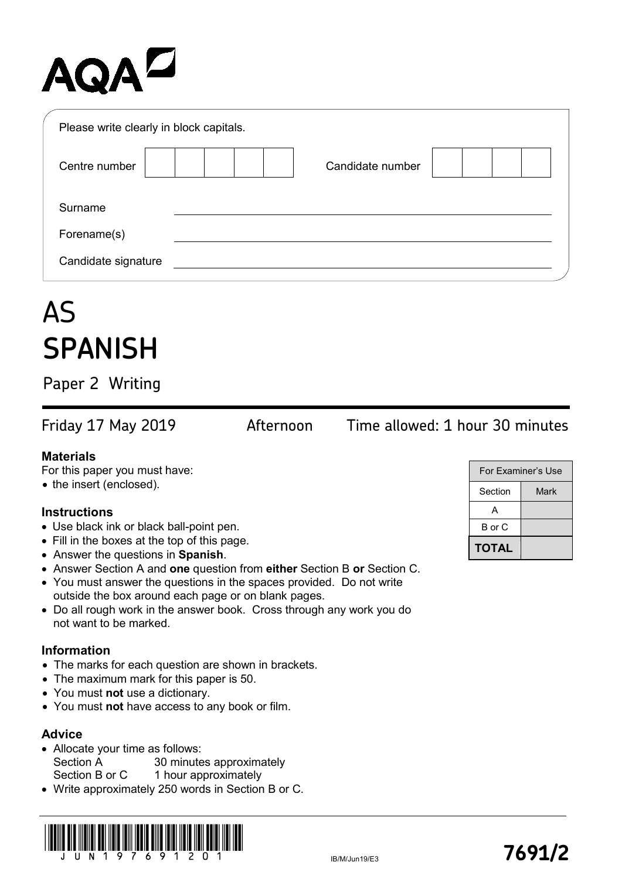# AQA<sup>D</sup>

| Please write clearly in block capitals. |                  |  |
|-----------------------------------------|------------------|--|
| Centre number                           | Candidate number |  |
| Surname                                 |                  |  |
| Forename(s)                             |                  |  |
| Candidate signature                     |                  |  |

## AS **SPANISH**

Paper 2 Writing

Friday 17 May 2019 Afternoon Time allowed: 1 hour 30 minutes

#### **Materials**

For this paper you must have:

• the insert (enclosed).

#### **Instructions**

- Use black ink or black ball-point pen.
- Fill in the boxes at the top of this page.
- Answer the questions in **Spanish**.
- Answer Section A and **one** question from **either** Section B **or** Section C.
- You must answer the questions in the spaces provided. Do not write outside the box around each page or on blank pages.
- Do all rough work in the answer book. Cross through any work you do not want to be marked.

#### **Information**

- The marks for each question are shown in brackets.
- The maximum mark for this paper is 50.
- You must **not** use a dictionary.
- You must **not** have access to any book or film.

#### **Advice**

- Allocate your time as follows: Section A 30 minutes approximately Section B or C 1 hour approximately
- Write approximately 250 words in Section B or C.



| Section      | Mark |
|--------------|------|
| А            |      |
| B or C       |      |
|              |      |
| <b>TOTAL</b> |      |
|              |      |

For Examiner's Use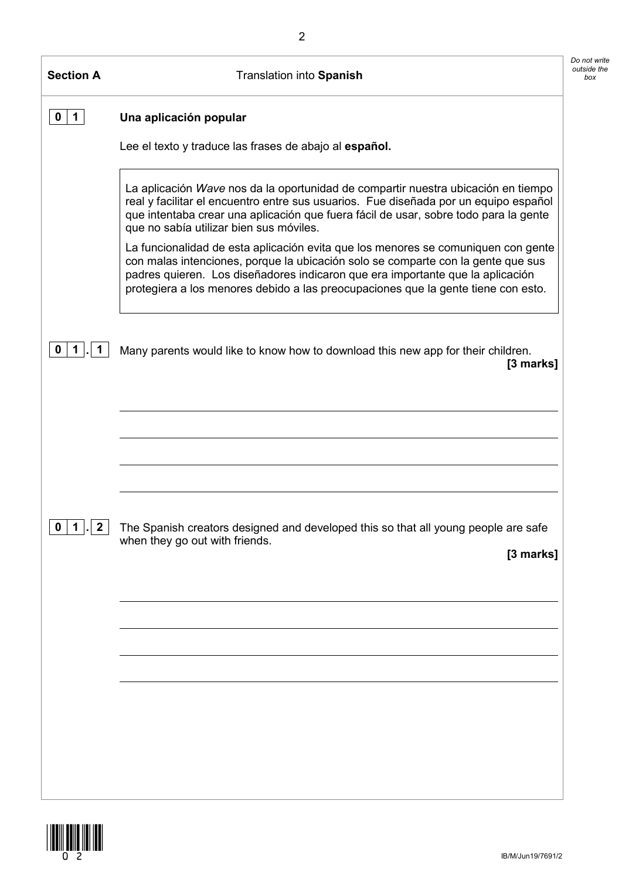| <b>Section A</b>       | Translation into Spanish                                                                                                                                                                                                                                                                                                                     |
|------------------------|----------------------------------------------------------------------------------------------------------------------------------------------------------------------------------------------------------------------------------------------------------------------------------------------------------------------------------------------|
| $\mathbf 0$<br>1.      | Una aplicación popular                                                                                                                                                                                                                                                                                                                       |
|                        | Lee el texto y traduce las frases de abajo al español.                                                                                                                                                                                                                                                                                       |
|                        | La aplicación Wave nos da la oportunidad de compartir nuestra ubicación en tiempo<br>real y facilitar el encuentro entre sus usuarios. Fue diseñada por un equipo español<br>que intentaba crear una aplicación que fuera fácil de usar, sobre todo para la gente<br>que no sabía utilizar bien sus móviles.                                 |
|                        | La funcionalidad de esta aplicación evita que los menores se comuniquen con gente<br>con malas intenciones, porque la ubicación solo se comparte con la gente que sus<br>padres quieren. Los diseñadores indicaron que era importante que la aplicación<br>protegiera a los menores debido a las preocupaciones que la gente tiene con esto. |
| 0<br>1.                | Many parents would like to know how to download this new app for their children.<br>[3 marks]                                                                                                                                                                                                                                                |
|                        |                                                                                                                                                                                                                                                                                                                                              |
|                        |                                                                                                                                                                                                                                                                                                                                              |
| 0<br>$\mathbf{2}$<br>1 | The Spanish creators designed and developed this so that all young people are safe<br>when they go out with friends.<br>[3 marks]                                                                                                                                                                                                            |
|                        |                                                                                                                                                                                                                                                                                                                                              |
|                        |                                                                                                                                                                                                                                                                                                                                              |
|                        |                                                                                                                                                                                                                                                                                                                                              |
|                        |                                                                                                                                                                                                                                                                                                                                              |
|                        |                                                                                                                                                                                                                                                                                                                                              |

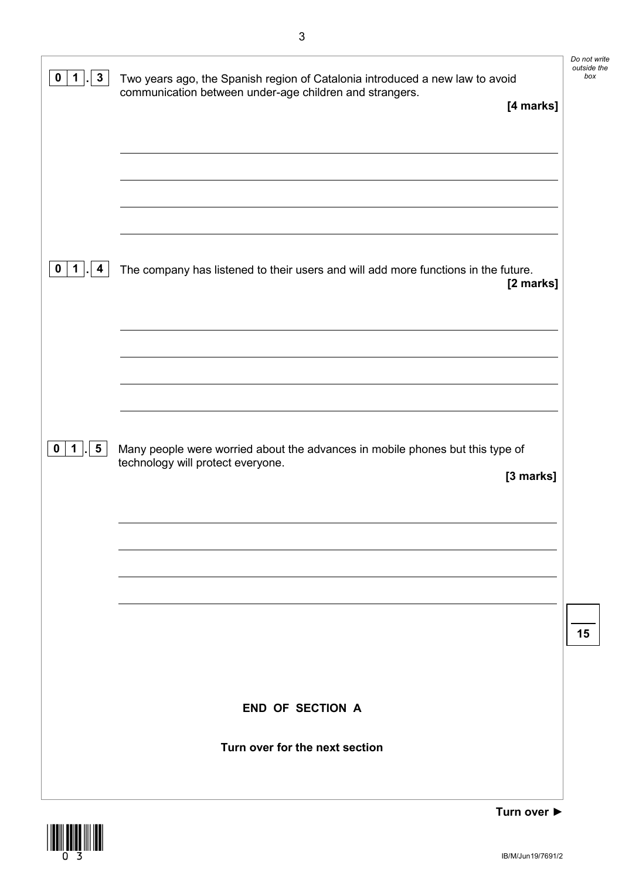**0 1 . 3** Two years ago, the Spanish region of Catalonia introduced a new law to avoid communication between under-age children and strangers. **[4 marks] 0 1 1 4** The company has listened to their users and will add more functions in the future. **[2 marks] END OF SECTION A Turn over for the next section 0 1 . 5** Many people were worried about the advances in mobile phones but this type of technology will protect everyone. **[3 marks]**

**Turn over ►**

3

**15**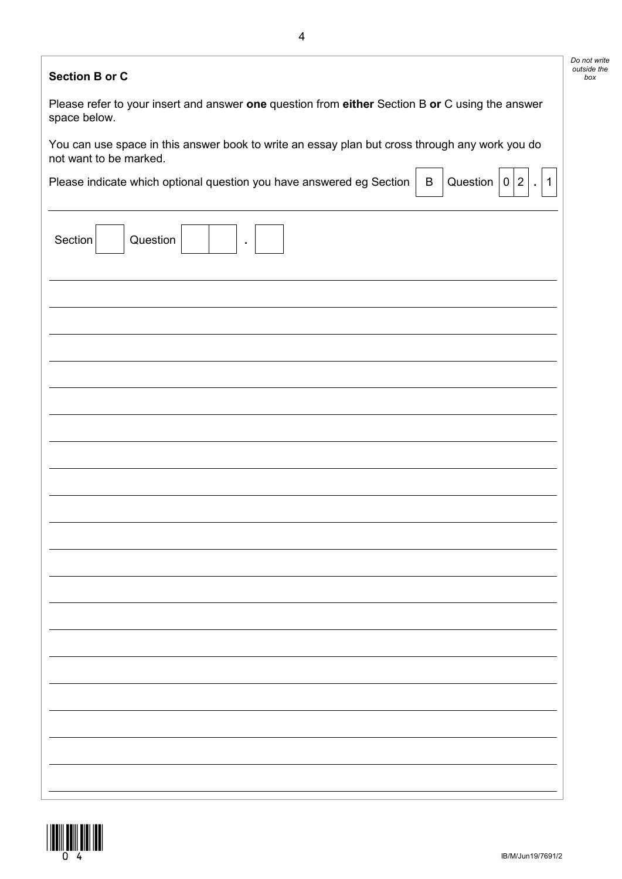| <b>Section B or C</b>                                                                                                    | Do not write<br>outside the<br>box |
|--------------------------------------------------------------------------------------------------------------------------|------------------------------------|
| Please refer to your insert and answer one question from either Section B or C using the answer<br>space below.          |                                    |
| You can use space in this answer book to write an essay plan but cross through any work you do<br>not want to be marked. |                                    |
| Question  <br>Please indicate which optional question you have answered eg Section<br>B<br>0 2 <br>$\vert$ 1<br>$\sim$   |                                    |
| Section<br>Question<br>×                                                                                                 |                                    |
|                                                                                                                          |                                    |
|                                                                                                                          |                                    |
|                                                                                                                          |                                    |
|                                                                                                                          |                                    |
|                                                                                                                          |                                    |
|                                                                                                                          |                                    |
|                                                                                                                          |                                    |
|                                                                                                                          |                                    |
|                                                                                                                          |                                    |
|                                                                                                                          |                                    |
|                                                                                                                          |                                    |
|                                                                                                                          |                                    |
|                                                                                                                          |                                    |

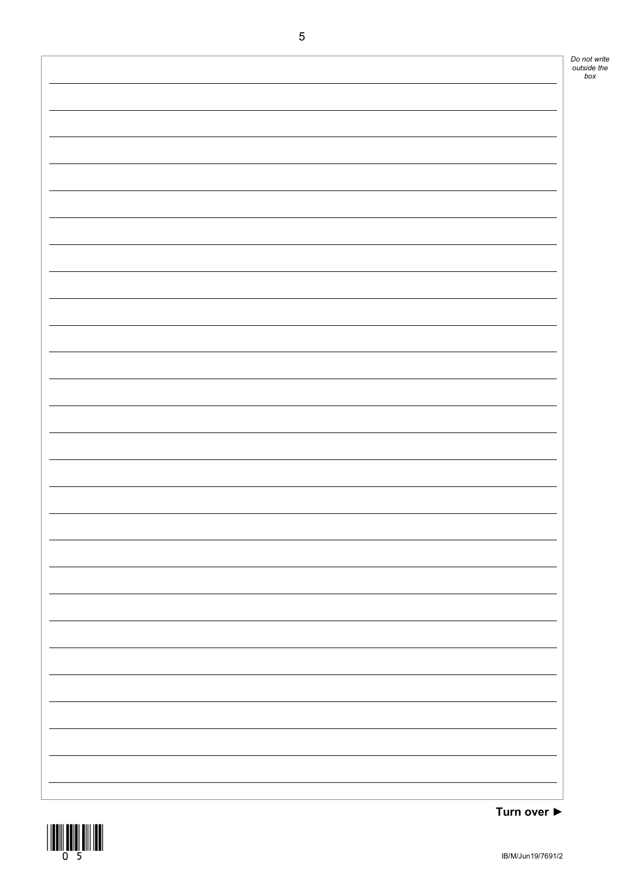

**Turn over ►**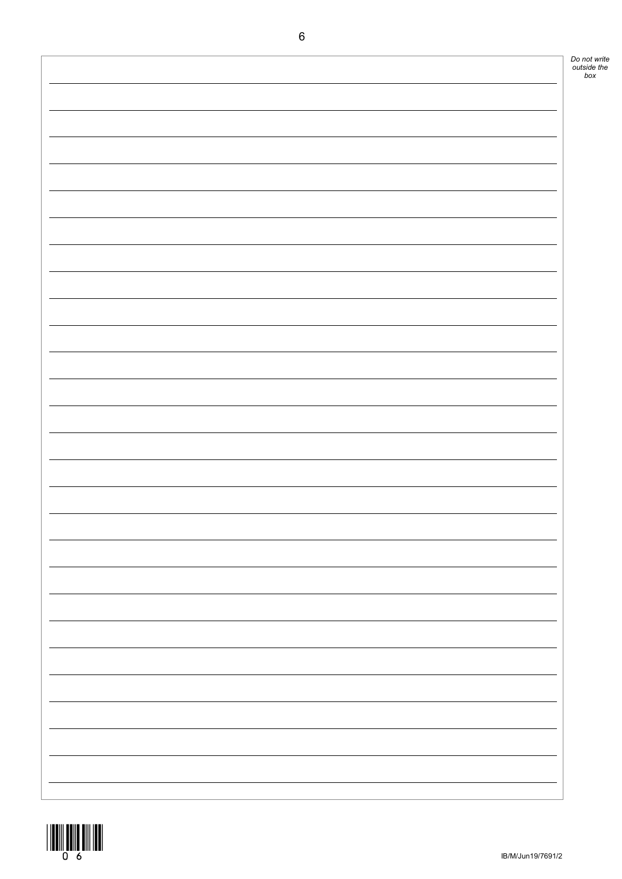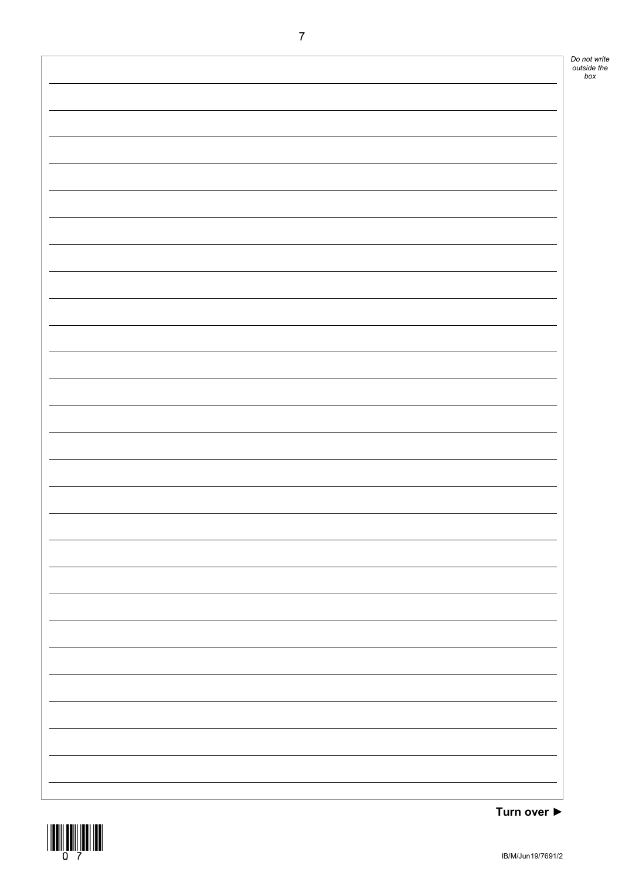

**Turn over ►**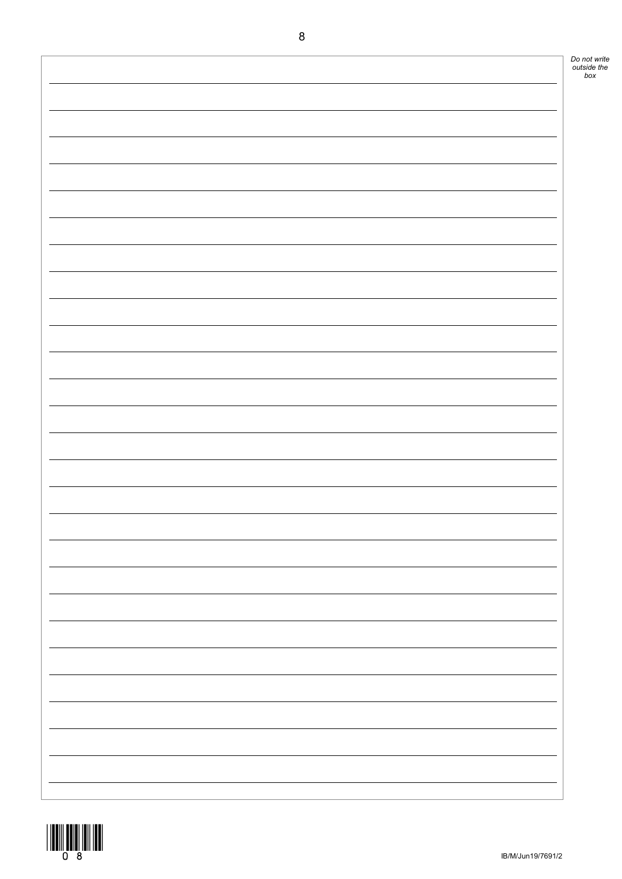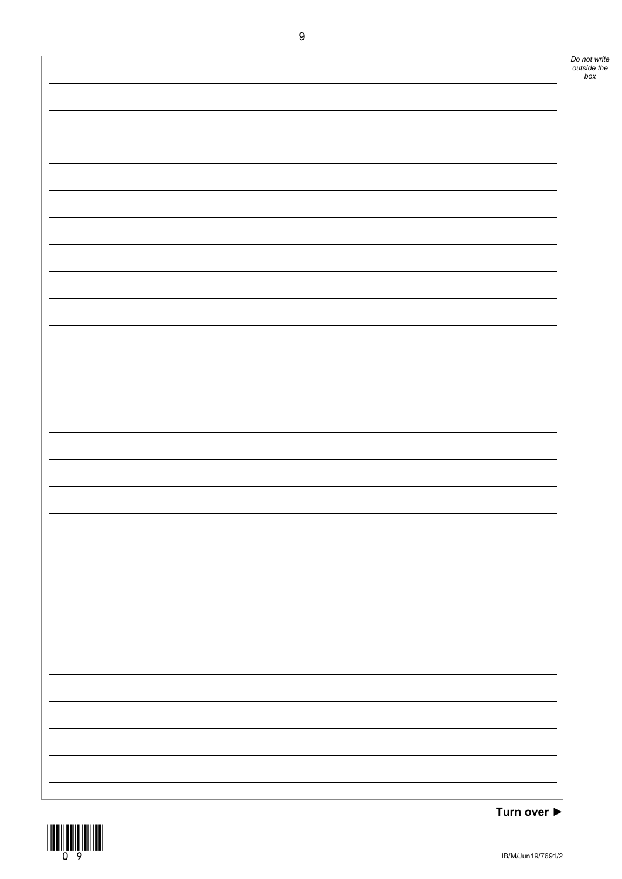

**Turn over ►**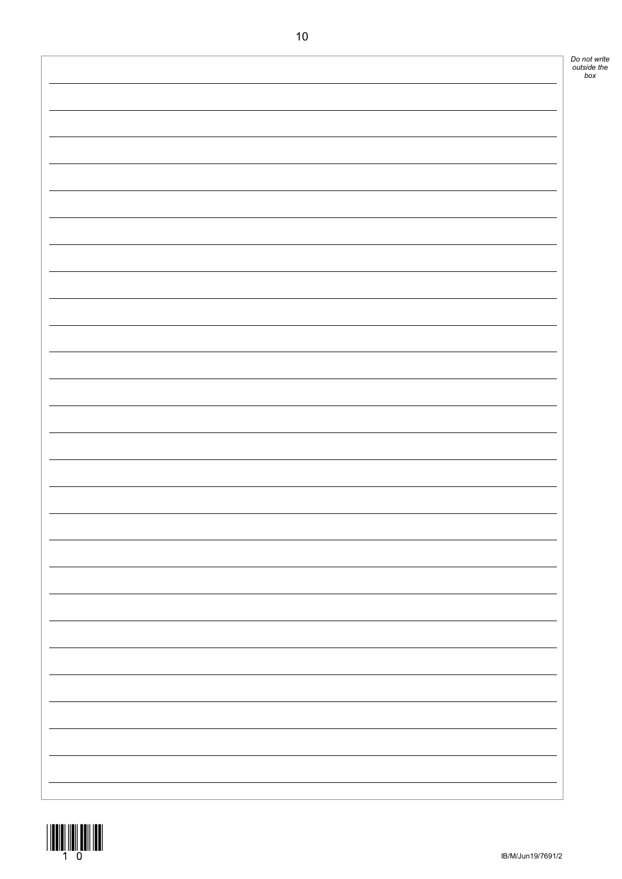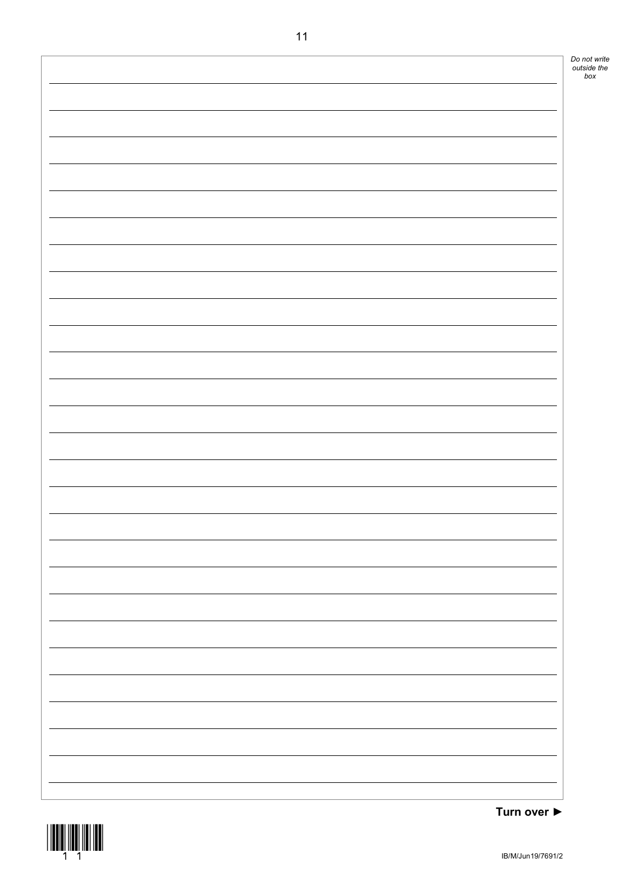